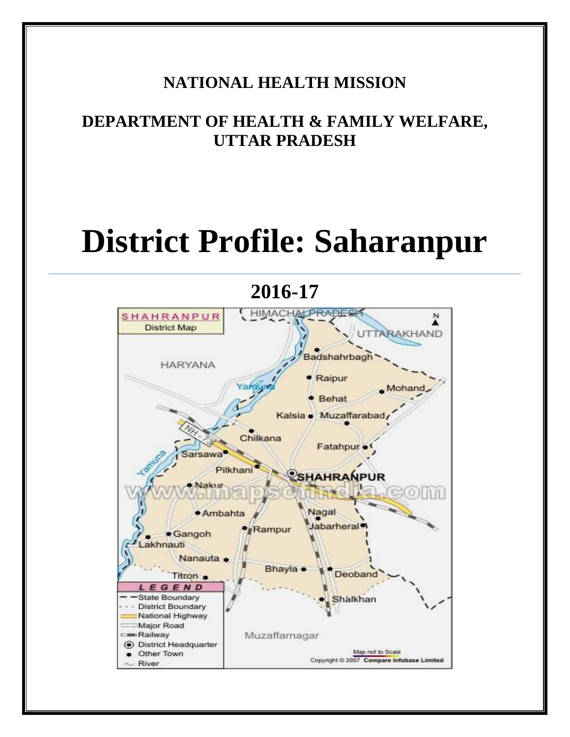## **NATIONAL HEALTH MISSION**

## **DEPARTMENT OF HEALTH & FAMILY WELFARE, UTTAR PRADESH**

# **District Profile: Saharanpur**

## **2016-17**

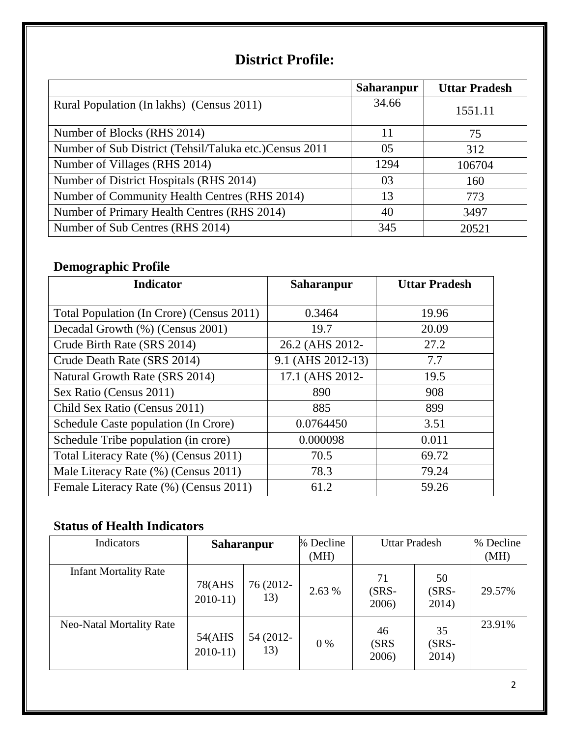## **District Profile:**

|                                                        | <b>Saharanpur</b> | <b>Uttar Pradesh</b> |
|--------------------------------------------------------|-------------------|----------------------|
| Rural Population (In lakhs) (Census 2011)              | 34.66             | 1551.11              |
| Number of Blocks (RHS 2014)                            | 11                | 75                   |
| Number of Sub District (Tehsil/Taluka etc.)Census 2011 | 05                | 312                  |
| Number of Villages (RHS 2014)                          | 1294              | 106704               |
| Number of District Hospitals (RHS 2014)                | 03                | 160                  |
| Number of Community Health Centres (RHS 2014)          | 13                | 773                  |
| Number of Primary Health Centres (RHS 2014)            | 40                | 3497                 |
| Number of Sub Centres (RHS 2014)                       | 345               | 20521                |

## **Demographic Profile**

| <b>Indicator</b>                          | <b>Saharanpur</b> | <b>Uttar Pradesh</b> |
|-------------------------------------------|-------------------|----------------------|
|                                           |                   |                      |
| Total Population (In Crore) (Census 2011) | 0.3464            | 19.96                |
| Decadal Growth (%) (Census 2001)          | 19.7              | 20.09                |
| Crude Birth Rate (SRS 2014)               | 26.2 (AHS 2012-   | 27.2                 |
| Crude Death Rate (SRS 2014)               | 9.1 (AHS 2012-13) | 7.7                  |
| Natural Growth Rate (SRS 2014)            | 17.1 (AHS 2012-   | 19.5                 |
| Sex Ratio (Census 2011)                   | 890               | 908                  |
| Child Sex Ratio (Census 2011)             | 885               | 899                  |
| Schedule Caste population (In Crore)      | 0.0764450         | 3.51                 |
| Schedule Tribe population (in crore)      | 0.000098          | 0.011                |
| Total Literacy Rate (%) (Census 2011)     | 70.5              | 69.72                |
| Male Literacy Rate (%) (Census 2011)      | 78.3              | 79.24                |
| Female Literacy Rate (%) (Census 2011)    | 61.2              | 59.26                |

## **Status of Health Indicators**

| Indicators                      | <b>Saharanpur</b>          |                  | % Decline<br>(MH) | <b>Uttar Pradesh</b>    |                        | % Decline<br>(MH) |
|---------------------------------|----------------------------|------------------|-------------------|-------------------------|------------------------|-------------------|
| <b>Infant Mortality Rate</b>    | <b>78(AHS</b><br>$2010-11$ | 76 (2012-<br>13) | 2.63 %            | 71<br>$(SRS -$<br>2006) | 50<br>$(SRS-$<br>2014) | 29.57%            |
| <b>Neo-Natal Mortality Rate</b> | 54(AHS)<br>$2010-11$       | 54 (2012-<br>13) | $0\%$             | 46<br>(SRS)<br>2006)    | 35<br>$(SRS-$<br>2014) | 23.91%            |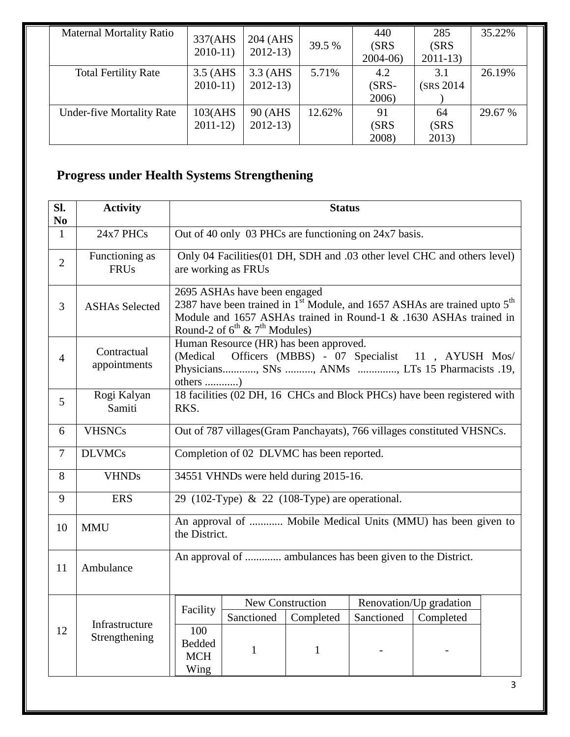| <b>Maternal Mortality Ratio</b>  | 337(AHS<br>$2010-11$  | 204 (AHS)<br>$2012-13$ | 39.5 % | 440<br>(SRS<br>$2004-06$ | 285<br>(SRS<br>$2011-13$ | 35.22%  |
|----------------------------------|-----------------------|------------------------|--------|--------------------------|--------------------------|---------|
| <b>Total Fertility Rate</b>      | 3.5 (AHS<br>$2010-11$ | 3.3 (AHS<br>$2012-13$  | 5.71%  | 4.2<br>$(SRS -$          | 3.1<br>(SRS 2014)        | 26.19%  |
|                                  |                       |                        |        | 2006)                    |                          |         |
| <b>Under-five Mortality Rate</b> | 103(AHS               | 90 (AHS)               | 12.62% | 91                       | 64                       | 29.67 % |
|                                  | $2011-12$             | $2012-13$              |        | (SRS                     | (SRS                     |         |
|                                  |                       |                        |        | 2008)                    | 2013)                    |         |

## **Progress under Health Systems Strengthening**

| Sl.<br>N <sub>0</sub> | <b>Activity</b>               |                                                                                 |                                                                                                                                                                                                                                                   | <b>Status</b>    |            |                                                                         |  |
|-----------------------|-------------------------------|---------------------------------------------------------------------------------|---------------------------------------------------------------------------------------------------------------------------------------------------------------------------------------------------------------------------------------------------|------------------|------------|-------------------------------------------------------------------------|--|
| $\mathbf{1}$          | 24x7 PHCs                     | Out of 40 only 03 PHCs are functioning on 24x7 basis.                           |                                                                                                                                                                                                                                                   |                  |            |                                                                         |  |
| $\overline{2}$        | Functioning as<br><b>FRUs</b> |                                                                                 | Only 04 Facilities (01 DH, SDH and .03 other level CHC and others level)<br>are working as FRUs                                                                                                                                                   |                  |            |                                                                         |  |
| 3                     | <b>ASHAs Selected</b>         |                                                                                 | 2695 ASHAs have been engaged<br>2387 have been trained in 1 <sup>st</sup> Module, and 1657 ASHAs are trained upto 5 <sup>th</sup><br>Module and 1657 ASHAs trained in Round-1 & .1630 ASHAs trained in<br>Round-2 of $6^{th}$ & $7^{th}$ Modules) |                  |            |                                                                         |  |
| $\overline{4}$        | Contractual<br>appointments   | (Medical                                                                        | Human Resource (HR) has been approved.<br>Officers (MBBS) - 07 Specialist 11, AYUSH Mos/<br>Physicians, SNs , ANMs , LTs 15 Pharmacists .19,<br>others )                                                                                          |                  |            |                                                                         |  |
| 5                     | Rogi Kalyan<br>Samiti         | 18 facilities (02 DH, 16 CHCs and Block PHCs) have been registered with<br>RKS. |                                                                                                                                                                                                                                                   |                  |            |                                                                         |  |
| 6                     | <b>VHSNCs</b>                 |                                                                                 |                                                                                                                                                                                                                                                   |                  |            | Out of 787 villages (Gram Panchayats), 766 villages constituted VHSNCs. |  |
| $\overline{7}$        | <b>DLVMCs</b>                 |                                                                                 | Completion of 02 DLVMC has been reported.                                                                                                                                                                                                         |                  |            |                                                                         |  |
| 8                     | <b>VHNDs</b>                  |                                                                                 | 34551 VHNDs were held during 2015-16.                                                                                                                                                                                                             |                  |            |                                                                         |  |
| 9                     | <b>ERS</b>                    |                                                                                 | 29 (102-Type) & 22 (108-Type) are operational.                                                                                                                                                                                                    |                  |            |                                                                         |  |
| 10                    | <b>MMU</b>                    | An approval of  Mobile Medical Units (MMU) has been given to<br>the District.   |                                                                                                                                                                                                                                                   |                  |            |                                                                         |  |
| 11                    | Ambulance                     | An approval of  ambulances has been given to the District.                      |                                                                                                                                                                                                                                                   |                  |            |                                                                         |  |
|                       |                               | Facility                                                                        |                                                                                                                                                                                                                                                   | New Construction |            | Renovation/Up gradation                                                 |  |
|                       | Infrastructure                |                                                                                 | Sanctioned                                                                                                                                                                                                                                        | Completed        | Sanctioned | Completed                                                               |  |
| 12                    | Strengthening                 | 100<br><b>Bedded</b><br><b>MCH</b><br>Wing                                      | $\mathbf{1}$                                                                                                                                                                                                                                      | $\mathbf{1}$     |            |                                                                         |  |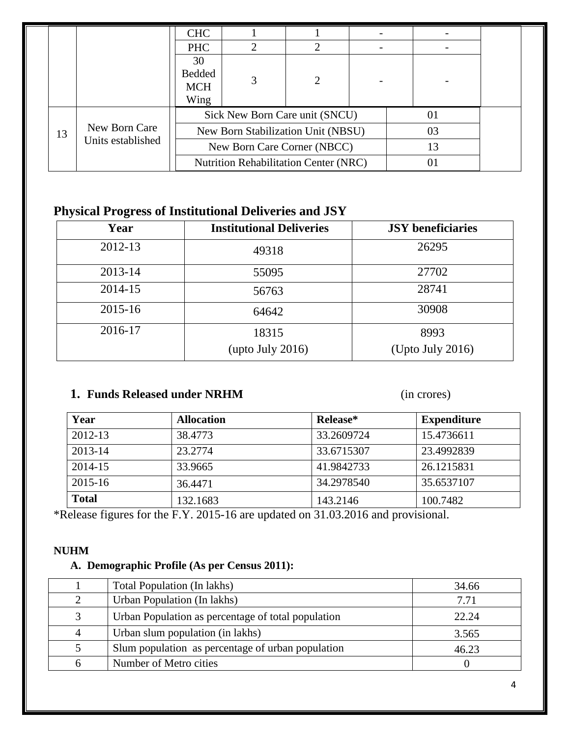|                   |               | <b>CHC</b>                                   |                                    |                                |  |    |  |
|-------------------|---------------|----------------------------------------------|------------------------------------|--------------------------------|--|----|--|
|                   |               | <b>PHC</b>                                   |                                    |                                |  |    |  |
|                   |               | 30                                           |                                    |                                |  |    |  |
|                   |               | Bedded                                       |                                    | 2                              |  |    |  |
|                   |               | <b>MCH</b>                                   |                                    |                                |  |    |  |
|                   |               | Wing                                         |                                    |                                |  |    |  |
|                   |               |                                              |                                    | Sick New Born Care unit (SNCU) |  | 01 |  |
| 13                | New Born Care |                                              | New Born Stabilization Unit (NBSU) |                                |  | 03 |  |
| Units established |               | New Born Care Corner (NBCC)                  |                                    |                                |  | 13 |  |
|                   |               | <b>Nutrition Rehabilitation Center (NRC)</b> |                                    |                                |  |    |  |

### **Physical Progress of Institutional Deliveries and JSY**

| Year    | <b>Institutional Deliveries</b>     | <b>JSY</b> beneficiaries |
|---------|-------------------------------------|--------------------------|
| 2012-13 | 49318                               | 26295                    |
| 2013-14 | 55095                               | 27702                    |
| 2014-15 | 56763                               | 28741                    |
| 2015-16 | 64642                               | 30908                    |
| 2016-17 | 18315<br>$(\text{upto July } 2016)$ | 8993<br>(Upto July 2016) |

#### **1. Funds Released under NRHM** (in crores)

| Year         | <b>Allocation</b> | Release*   | <b>Expenditure</b> |
|--------------|-------------------|------------|--------------------|
| 2012-13      | 38.4773           | 33.2609724 | 15.4736611         |
| 2013-14      | 23.2774           | 33.6715307 | 23.4992839         |
| 2014-15      | 33.9665           | 41.9842733 | 26.1215831         |
| $2015 - 16$  | 36.4471           | 34.2978540 | 35.6537107         |
| <b>Total</b> | 132.1683          | 143.2146   | 100.7482           |

\*Release figures for the F.Y. 2015-16 are updated on 31.03.2016 and provisional.

#### **NUHM**

#### **A. Demographic Profile (As per Census 2011):**

|   | Total Population (In lakhs)                        | 34.66 |
|---|----------------------------------------------------|-------|
| 2 | Urban Population (In lakhs)                        | 7.71  |
| 3 | Urban Population as percentage of total population | 22.24 |
| 4 | Urban slum population (in lakhs)                   | 3.565 |
| 5 | Slum population as percentage of urban population  | 46.23 |
| 6 | Number of Metro cities                             |       |